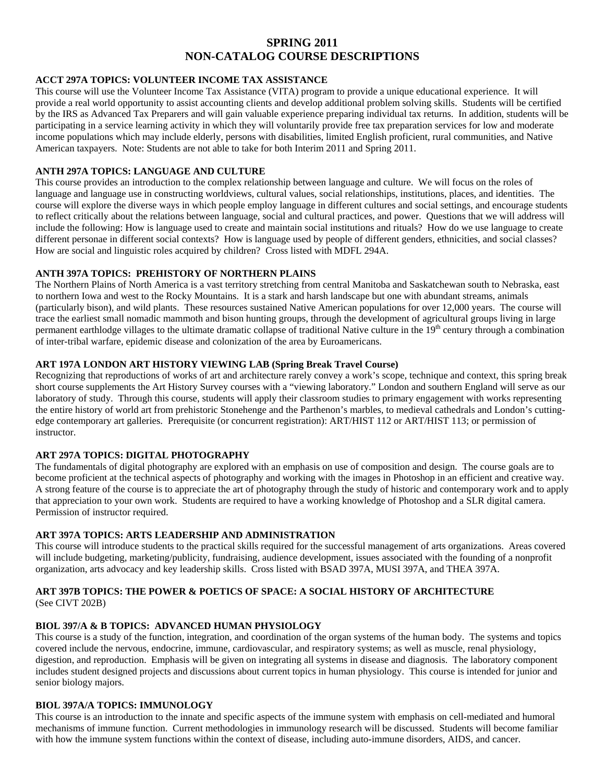# **SPRING 2011 NON-CATALOG COURSE DESCRIPTIONS**

#### **ACCT 297A TOPICS: VOLUNTEER INCOME TAX ASSISTANCE**

This course will use the Volunteer Income Tax Assistance (VITA) program to provide a unique educational experience. It will provide a real world opportunity to assist accounting clients and develop additional problem solving skills. Students will be certified by the IRS as Advanced Tax Preparers and will gain valuable experience preparing individual tax returns. In addition, students will be participating in a service learning activity in which they will voluntarily provide free tax preparation services for low and moderate income populations which may include elderly, persons with disabilities, limited English proficient, rural communities, and Native American taxpayers. Note: Students are not able to take for both Interim 2011 and Spring 2011.

#### **ANTH 297A TOPICS: LANGUAGE AND CULTURE**

This course provides an introduction to the complex relationship between language and culture. We will focus on the roles of language and language use in constructing worldviews, cultural values, social relationships, institutions, places, and identities. The course will explore the diverse ways in which people employ language in different cultures and social settings, and encourage students to reflect critically about the relations between language, social and cultural practices, and power. Questions that we will address will include the following: How is language used to create and maintain social institutions and rituals? How do we use language to create different personae in different social contexts? How is language used by people of different genders, ethnicities, and social classes? How are social and linguistic roles acquired by children? Cross listed with MDFL 294A.

#### **ANTH 397A TOPICS: PREHISTORY OF NORTHERN PLAINS**

The Northern Plains of North America is a vast territory stretching from central Manitoba and Saskatchewan south to Nebraska, east to northern Iowa and west to the Rocky Mountains. It is a stark and harsh landscape but one with abundant streams, animals (particularly bison), and wild plants. These resources sustained Native American populations for over 12,000 years. The course will trace the earliest small nomadic mammoth and bison hunting groups, through the development of agricultural groups living in large permanent earthlodge villages to the ultimate dramatic collapse of traditional Native culture in the 19<sup>th</sup> century through a combination of inter-tribal warfare, epidemic disease and colonization of the area by Euroamericans.

#### **ART 197A LONDON ART HISTORY VIEWING LAB (Spring Break Travel Course)**

Recognizing that reproductions of works of art and architecture rarely convey a work's scope, technique and context, this spring break short course supplements the Art History Survey courses with a "viewing laboratory." London and southern England will serve as our laboratory of study. Through this course, students will apply their classroom studies to primary engagement with works representing the entire history of world art from prehistoric Stonehenge and the Parthenon's marbles, to medieval cathedrals and London's cuttingedge contemporary art galleries. Prerequisite (or concurrent registration): ART/HIST 112 or ART/HIST 113; or permission of instructor.

#### **ART 297A TOPICS: DIGITAL PHOTOGRAPHY**

The fundamentals of digital photography are explored with an emphasis on use of composition and design. The course goals are to become proficient at the technical aspects of photography and working with the images in Photoshop in an efficient and creative way. A strong feature of the course is to appreciate the art of photography through the study of historic and contemporary work and to apply that appreciation to your own work. Students are required to have a working knowledge of Photoshop and a SLR digital camera. Permission of instructor required.

#### **ART 397A TOPICS: ARTS LEADERSHIP AND ADMINISTRATION**

This course will introduce students to the practical skills required for the successful management of arts organizations. Areas covered will include budgeting, marketing/publicity, fundraising, audience development, issues associated with the founding of a nonprofit organization, arts advocacy and key leadership skills. Cross listed with BSAD 397A, MUSI 397A, and THEA 397A.

# **ART 397B TOPICS: THE POWER & POETICS OF SPACE: A SOCIAL HISTORY OF ARCHITECTURE**

(See CIVT 202B)

# **BIOL 397/A & B TOPICS: ADVANCED HUMAN PHYSIOLOGY**

This course is a study of the function, integration, and coordination of the organ systems of the human body. The systems and topics covered include the nervous, endocrine, immune, cardiovascular, and respiratory systems; as well as muscle, renal physiology, digestion, and reproduction. Emphasis will be given on integrating all systems in disease and diagnosis. The laboratory component includes student designed projects and discussions about current topics in human physiology. This course is intended for junior and senior biology majors.

#### **BIOL 397A/A TOPICS: IMMUNOLOGY**

This course is an introduction to the innate and specific aspects of the immune system with emphasis on cell-mediated and humoral mechanisms of immune function. Current methodologies in immunology research will be discussed. Students will become familiar with how the immune system functions within the context of disease, including auto-immune disorders, AIDS, and cancer.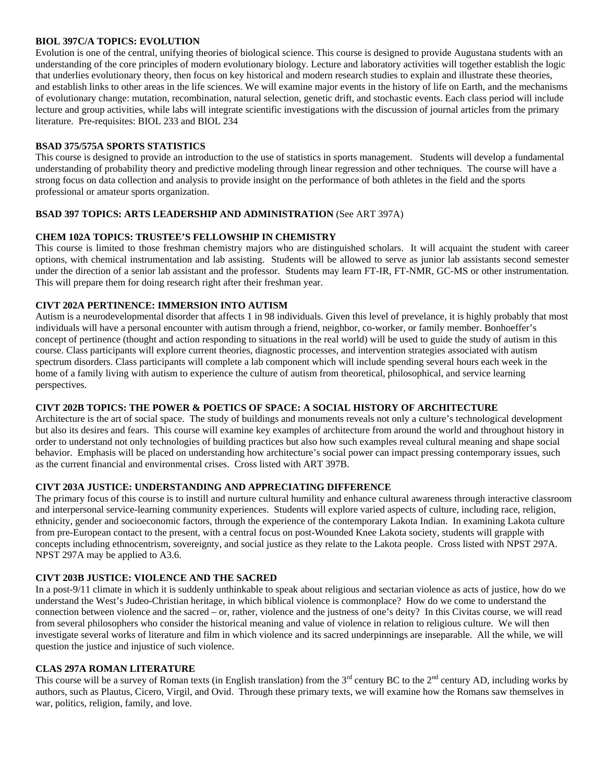#### **BIOL 397C/A TOPICS: EVOLUTION**

Evolution is one of the central, unifying theories of biological science. This course is designed to provide Augustana students with an understanding of the core principles of modern evolutionary biology. Lecture and laboratory activities will together establish the logic that underlies evolutionary theory, then focus on key historical and modern research studies to explain and illustrate these theories, and establish links to other areas in the life sciences. We will examine major events in the history of life on Earth, and the mechanisms of evolutionary change: mutation, recombination, natural selection, genetic drift, and stochastic events. Each class period will include lecture and group activities, while labs will integrate scientific investigations with the discussion of journal articles from the primary literature. Pre-requisites: BIOL 233 and BIOL 234

#### **BSAD 375/575A SPORTS STATISTICS**

This course is designed to provide an introduction to the use of statistics in sports management. Students will develop a fundamental understanding of probability theory and predictive modeling through linear regression and other techniques. The course will have a strong focus on data collection and analysis to provide insight on the performance of both athletes in the field and the sports professional or amateur sports organization.

#### **BSAD 397 TOPICS: ARTS LEADERSHIP AND ADMINISTRATION** (See ART 397A)

#### **CHEM 102A TOPICS: TRUSTEE'S FELLOWSHIP IN CHEMISTRY**

This course is limited to those freshman chemistry majors who are distinguished scholars. It will acquaint the student with career options, with chemical instrumentation and lab assisting. Students will be allowed to serve as junior lab assistants second semester under the direction of a senior lab assistant and the professor. Students may learn FT-IR, FT-NMR, GC-MS or other instrumentation. This will prepare them for doing research right after their freshman year.

#### **CIVT 202A PERTINENCE: IMMERSION INTO AUTISM**

Autism is a neurodevelopmental disorder that affects 1 in 98 individuals. Given this level of prevelance, it is highly probably that most individuals will have a personal encounter with autism through a friend, neighbor, co-worker, or family member. Bonhoeffer's concept of pertinence (thought and action responding to situations in the real world) will be used to guide the study of autism in this course. Class participants will explore current theories, diagnostic processes, and intervention strategies associated with autism spectrum disorders. Class participants will complete a lab component which will include spending several hours each week in the home of a family living with autism to experience the culture of autism from theoretical, philosophical, and service learning perspectives.

#### **CIVT 202B TOPICS: THE POWER & POETICS OF SPACE: A SOCIAL HISTORY OF ARCHITECTURE**

Architecture is the art of social space. The study of buildings and monuments reveals not only a culture's technological development but also its desires and fears. This course will examine key examples of architecture from around the world and throughout history in order to understand not only technologies of building practices but also how such examples reveal cultural meaning and shape social behavior. Emphasis will be placed on understanding how architecture's social power can impact pressing contemporary issues, such as the current financial and environmental crises.Cross listed with ART 397B.

### **CIVT 203A JUSTICE: UNDERSTANDING AND APPRECIATING DIFFERENCE**

The primary focus of this course is to instill and nurture cultural humility and enhance cultural awareness through interactive classroom and interpersonal service-learning community experiences. Students will explore varied aspects of culture, including race, religion, ethnicity, gender and socioeconomic factors, through the experience of the contemporary Lakota Indian. In examining Lakota culture from pre-European contact to the present, with a central focus on post-Wounded Knee Lakota society, students will grapple with concepts including ethnocentrism, sovereignty, and social justice as they relate to the Lakota people. Cross listed with NPST 297A. NPST 297A may be applied to A3.6.

#### **CIVT 203B JUSTICE: VIOLENCE AND THE SACRED**

In a post-9/11 climate in which it is suddenly unthinkable to speak about religious and sectarian violence as acts of justice, how do we understand the West's Judeo-Christian heritage, in which biblical violence is commonplace? How do we come to understand the connection between violence and the sacred – or, rather, violence and the justness of one's deity? In this Civitas course, we will read from several philosophers who consider the historical meaning and value of violence in relation to religious culture. We will then investigate several works of literature and film in which violence and its sacred underpinnings are inseparable. All the while, we will question the justice and injustice of such violence.

#### **CLAS 297A ROMAN LITERATURE**

This course will be a survey of Roman texts (in English translation) from the  $3<sup>rd</sup>$  century BC to the  $2<sup>nd</sup>$  century AD, including works by authors, such as Plautus, Cicero, Virgil, and Ovid. Through these primary texts, we will examine how the Romans saw themselves in war, politics, religion, family, and love.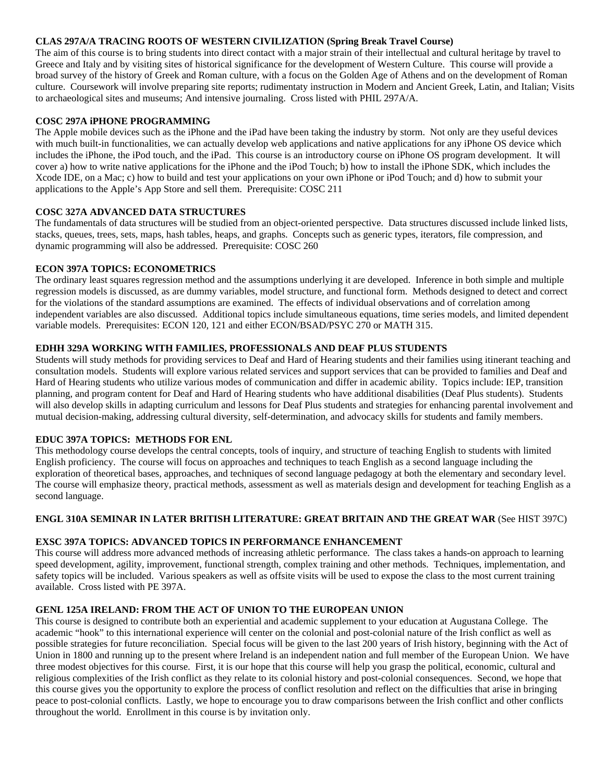### **CLAS 297A/A TRACING ROOTS OF WESTERN CIVILIZATION (Spring Break Travel Course)**

The aim of this course is to bring students into direct contact with a major strain of their intellectual and cultural heritage by travel to Greece and Italy and by visiting sites of historical significance for the development of Western Culture. This course will provide a broad survey of the history of Greek and Roman culture, with a focus on the Golden Age of Athens and on the development of Roman culture. Coursework will involve preparing site reports; rudimentaty instruction in Modern and Ancient Greek, Latin, and Italian; Visits to archaeological sites and museums; And intensive journaling. Cross listed with PHIL 297A/A.

### **COSC 297A iPHONE PROGRAMMING**

The Apple mobile devices such as the iPhone and the iPad have been taking the industry by storm. Not only are they useful devices with much built-in functionalities, we can actually develop web applications and native applications for any iPhone OS device which includes the iPhone, the iPod touch, and the iPad. This course is an introductory course on iPhone OS program development. It will cover a) how to write native applications for the iPhone and the iPod Touch; b) how to install the iPhone SDK, which includes the Xcode IDE, on a Mac; c) how to build and test your applications on your own iPhone or iPod Touch; and d) how to submit your applications to the Apple's App Store and sell them. Prerequisite: COSC 211

# **COSC 327A ADVANCED DATA STRUCTURES**

The fundamentals of data structures will be studied from an object-oriented perspective. Data structures discussed include linked lists, stacks, queues, trees, sets, maps, hash tables, heaps, and graphs. Concepts such as generic types, iterators, file compression, and dynamic programming will also be addressed. Prerequisite: COSC 260

# **ECON 397A TOPICS: ECONOMETRICS**

The ordinary least squares regression method and the assumptions underlying it are developed. Inference in both simple and multiple regression models is discussed, as are dummy variables, model structure, and functional form. Methods designed to detect and correct for the violations of the standard assumptions are examined. The effects of individual observations and of correlation among independent variables are also discussed. Additional topics include simultaneous equations, time series models, and limited dependent variable models. Prerequisites: ECON 120, 121 and either ECON/BSAD/PSYC 270 or MATH 315.

# **EDHH 329A WORKING WITH FAMILIES, PROFESSIONALS AND DEAF PLUS STUDENTS**

Students will study methods for providing services to Deaf and Hard of Hearing students and their families using itinerant teaching and consultation models. Students will explore various related services and support services that can be provided to families and Deaf and Hard of Hearing students who utilize various modes of communication and differ in academic ability. Topics include: IEP, transition planning, and program content for Deaf and Hard of Hearing students who have additional disabilities (Deaf Plus students). Students will also develop skills in adapting curriculum and lessons for Deaf Plus students and strategies for enhancing parental involvement and mutual decision-making, addressing cultural diversity, self-determination, and advocacy skills for students and family members.

#### **EDUC 397A TOPICS: METHODS FOR ENL**

This methodology course develops the central concepts, tools of inquiry, and structure of teaching English to students with limited English proficiency. The course will focus on approaches and techniques to teach English as a second language including the exploration of theoretical bases, approaches, and techniques of second language pedagogy at both the elementary and secondary level. The course will emphasize theory, practical methods, assessment as well as materials design and development for teaching English as a second language.

#### **ENGL 310A SEMINAR IN LATER BRITISH LITERATURE: GREAT BRITAIN AND THE GREAT WAR** (See HIST 397C)

# **EXSC 397A TOPICS: ADVANCED TOPICS IN PERFORMANCE ENHANCEMENT**

This course will address more advanced methods of increasing athletic performance. The class takes a hands-on approach to learning speed development, agility, improvement, functional strength, complex training and other methods. Techniques, implementation, and safety topics will be included. Various speakers as well as offsite visits will be used to expose the class to the most current training available. Cross listed with PE 397A.

#### **GENL 125A IRELAND: FROM THE ACT OF UNION TO THE EUROPEAN UNION**

This course is designed to contribute both an experiential and academic supplement to your education at Augustana College. The academic "hook" to this international experience will center on the colonial and post-colonial nature of the Irish conflict as well as possible strategies for future reconciliation. Special focus will be given to the last 200 years of Irish history, beginning with the Act of Union in 1800 and running up to the present where Ireland is an independent nation and full member of the European Union. We have three modest objectives for this course. First, it is our hope that this course will help you grasp the political, economic, cultural and religious complexities of the Irish conflict as they relate to its colonial history and post-colonial consequences. Second, we hope that this course gives you the opportunity to explore the process of conflict resolution and reflect on the difficulties that arise in bringing peace to post-colonial conflicts. Lastly, we hope to encourage you to draw comparisons between the Irish conflict and other conflicts throughout the world. Enrollment in this course is by invitation only.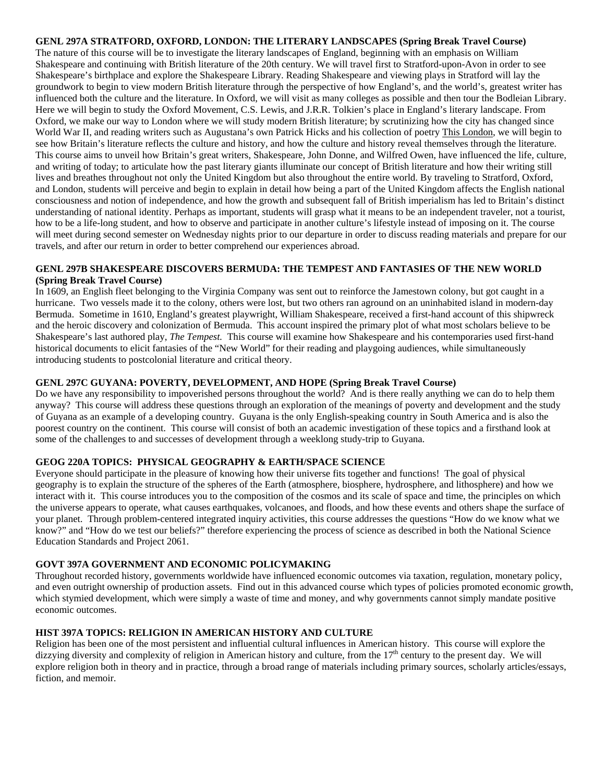#### **GENL 297A STRATFORD, OXFORD, LONDON: THE LITERARY LANDSCAPES (Spring Break Travel Course)**

The nature of this course will be to investigate the literary landscapes of England, beginning with an emphasis on William Shakespeare and continuing with British literature of the 20th century. We will travel first to Stratford-upon-Avon in order to see Shakespeare's birthplace and explore the Shakespeare Library. Reading Shakespeare and viewing plays in Stratford will lay the groundwork to begin to view modern British literature through the perspective of how England's, and the world's, greatest writer has influenced both the culture and the literature. In Oxford, we will visit as many colleges as possible and then tour the Bodleian Library. Here we will begin to study the Oxford Movement, C.S. Lewis, and J.R.R. Tolkien's place in England's literary landscape. From Oxford, we make our way to London where we will study modern British literature; by scrutinizing how the city has changed since World War II, and reading writers such as Augustana's own Patrick Hicks and his collection of poetry This London, we will begin to see how Britain's literature reflects the culture and history, and how the culture and history reveal themselves through the literature. This course aims to unveil how Britain's great writers, Shakespeare, John Donne, and Wilfred Owen, have influenced the life, culture, and writing of today; to articulate how the past literary giants illuminate our concept of British literature and how their writing still lives and breathes throughout not only the United Kingdom but also throughout the entire world. By traveling to Stratford, Oxford, and London, students will perceive and begin to explain in detail how being a part of the United Kingdom affects the English national consciousness and notion of independence, and how the growth and subsequent fall of British imperialism has led to Britain's distinct understanding of national identity. Perhaps as important, students will grasp what it means to be an independent traveler, not a tourist, how to be a life-long student, and how to observe and participate in another culture's lifestyle instead of imposing on it. The course will meet during second semester on Wednesday nights prior to our departure in order to discuss reading materials and prepare for our travels, and after our return in order to better comprehend our experiences abroad.

#### **GENL 297B SHAKESPEARE DISCOVERS BERMUDA: THE TEMPEST AND FANTASIES OF THE NEW WORLD (Spring Break Travel Course)**

In 1609, an English fleet belonging to the Virginia Company was sent out to reinforce the Jamestown colony, but got caught in a hurricane. Two vessels made it to the colony, others were lost, but two others ran aground on an uninhabited island in modern-day Bermuda. Sometime in 1610, England's greatest playwright, William Shakespeare, received a first-hand account of this shipwreck and the heroic discovery and colonization of Bermuda. This account inspired the primary plot of what most scholars believe to be Shakespeare's last authored play, *The Tempest.* This course will examine how Shakespeare and his contemporaries used first-hand historical documents to elicit fantasies of the "New World" for their reading and playgoing audiences, while simultaneously introducing students to postcolonial literature and critical theory.

# **GENL 297C GUYANA: POVERTY, DEVELOPMENT, AND HOPE (Spring Break Travel Course)**

Do we have any responsibility to impoverished persons throughout the world? And is there really anything we can do to help them anyway? This course will address these questions through an exploration of the meanings of poverty and development and the study of Guyana as an example of a developing country. Guyana is the only English-speaking country in South America and is also the poorest country on the continent. This course will consist of both an academic investigation of these topics and a firsthand look at some of the challenges to and successes of development through a weeklong study-trip to Guyana.

# **GEOG 220A TOPICS: PHYSICAL GEOGRAPHY & EARTH/SPACE SCIENCE**

Everyone should participate in the pleasure of knowing how their universe fits together and functions! The goal of physical geography is to explain the structure of the spheres of the Earth (atmosphere, biosphere, hydrosphere, and lithosphere) and how we interact with it. This course introduces you to the composition of the cosmos and its scale of space and time, the principles on which the universe appears to operate, what causes earthquakes, volcanoes, and floods, and how these events and others shape the surface of your planet. Through problem-centered integrated inquiry activities, this course addresses the questions "How do we know what we know?" and "How do we test our beliefs?" therefore experiencing the process of science as described in both the National Science Education Standards and Project 2061.

#### **GOVT 397A GOVERNMENT AND ECONOMIC POLICYMAKING**

Throughout recorded history, governments worldwide have influenced economic outcomes via taxation, regulation, monetary policy, and even outright ownership of production assets. Find out in this advanced course which types of policies promoted economic growth, which stymied development, which were simply a waste of time and money, and why governments cannot simply mandate positive economic outcomes.

#### **HIST 397A TOPICS: RELIGION IN AMERICAN HISTORY AND CULTURE**

Religion has been one of the most persistent and influential cultural influences in American history. This course will explore the dizzying diversity and complexity of religion in American history and culture, from the  $17<sup>th</sup>$  century to the present day. We will explore religion both in theory and in practice, through a broad range of materials including primary sources, scholarly articles/essays, fiction, and memoir.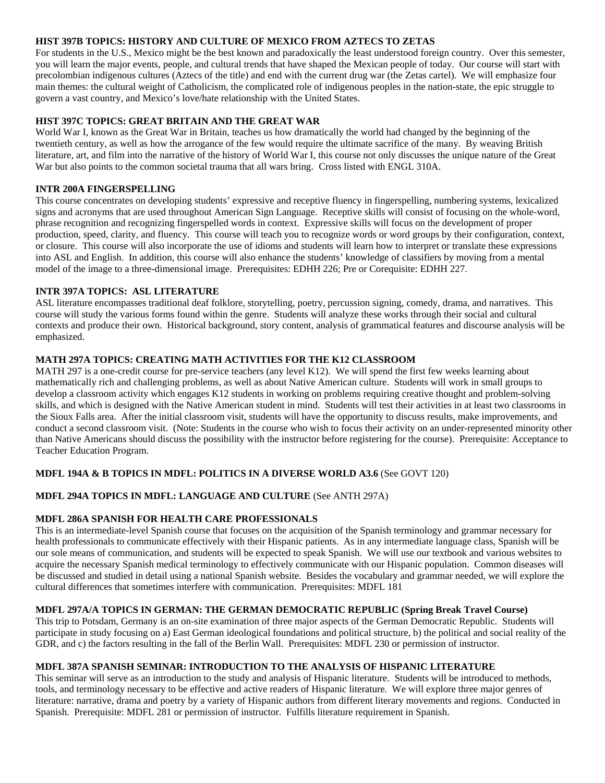### **HIST 397B TOPICS: HISTORY AND CULTURE OF MEXICO FROM AZTECS TO ZETAS**

For students in the U.S., Mexico might be the best known and paradoxically the least understood foreign country. Over this semester, you will learn the major events, people, and cultural trends that have shaped the Mexican people of today. Our course will start with precolombian indigenous cultures (Aztecs of the title) and end with the current drug war (the Zetas cartel). We will emphasize four main themes: the cultural weight of Catholicism, the complicated role of indigenous peoples in the nation-state, the epic struggle to govern a vast country, and Mexico's love/hate relationship with the United States.

# **HIST 397C TOPICS: GREAT BRITAIN AND THE GREAT WAR**

World War I, known as the Great War in Britain, teaches us how dramatically the world had changed by the beginning of the twentieth century, as well as how the arrogance of the few would require the ultimate sacrifice of the many. By weaving British literature, art, and film into the narrative of the history of World War I, this course not only discusses the unique nature of the Great War but also points to the common societal trauma that all wars bring. Cross listed with ENGL 310A.

#### **INTR 200A FINGERSPELLING**

This course concentrates on developing students' expressive and receptive fluency in fingerspelling, numbering systems, lexicalized signs and acronyms that are used throughout American Sign Language. Receptive skills will consist of focusing on the whole-word, phrase recognition and recognizing fingerspelled words in context. Expressive skills will focus on the development of proper production, speed, clarity, and fluency. This course will teach you to recognize words or word groups by their configuration, context, or closure. This course will also incorporate the use of idioms and students will learn how to interpret or translate these expressions into ASL and English. In addition, this course will also enhance the students' knowledge of classifiers by moving from a mental model of the image to a three-dimensional image. Prerequisites: EDHH 226; Pre or Corequisite: EDHH 227.

# **INTR 397A TOPICS: ASL LITERATURE**

ASL literature encompasses traditional deaf folklore, storytelling, poetry, percussion signing, comedy, drama, and narratives. This course will study the various forms found within the genre. Students will analyze these works through their social and cultural contexts and produce their own. Historical background, story content, analysis of grammatical features and discourse analysis will be emphasized.

# **MATH 297A TOPICS: CREATING MATH ACTIVITIES FOR THE K12 CLASSROOM**

MATH 297 is a one-credit course for pre-service teachers (any level K12). We will spend the first few weeks learning about mathematically rich and challenging problems, as well as about Native American culture. Students will work in small groups to develop a classroom activity which engages K12 students in working on problems requiring creative thought and problem-solving skills, and which is designed with the Native American student in mind. Students will test their activities in at least two classrooms in the Sioux Falls area. After the initial classroom visit, students will have the opportunity to discuss results, make improvements, and conduct a second classroom visit. (Note: Students in the course who wish to focus their activity on an under-represented minority other than Native Americans should discuss the possibility with the instructor before registering for the course). Prerequisite: Acceptance to Teacher Education Program.

# **MDFL 194A & B TOPICS IN MDFL: POLITICS IN A DIVERSE WORLD A3.6** (See GOVT 120)

# **MDFL 294A TOPICS IN MDFL: LANGUAGE AND CULTURE** (See ANTH 297A)

# **MDFL 286A SPANISH FOR HEALTH CARE PROFESSIONALS**

This is an intermediate-level Spanish course that focuses on the acquisition of the Spanish terminology and grammar necessary for health professionals to communicate effectively with their Hispanic patients. As in any intermediate language class, Spanish will be our sole means of communication, and students will be expected to speak Spanish. We will use our textbook and various websites to acquire the necessary Spanish medical terminology to effectively communicate with our Hispanic population. Common diseases will be discussed and studied in detail using a national Spanish website. Besides the vocabulary and grammar needed, we will explore the cultural differences that sometimes interfere with communication. Prerequisites: MDFL 181

#### **MDFL 297A/A TOPICS IN GERMAN: THE GERMAN DEMOCRATIC REPUBLIC (Spring Break Travel Course)**

This trip to Potsdam, Germany is an on-site examination of three major aspects of the German Democratic Republic. Students will participate in study focusing on a) East German ideological foundations and political structure, b) the political and social reality of the GDR, and c) the factors resulting in the fall of the Berlin Wall. Prerequisites: MDFL 230 or permission of instructor.

#### **MDFL 387A SPANISH SEMINAR: INTRODUCTION TO THE ANALYSIS OF HISPANIC LITERATURE**

This seminar will serve as an introduction to the study and analysis of Hispanic literature. Students will be introduced to methods, tools, and terminology necessary to be effective and active readers of Hispanic literature. We will explore three major genres of literature: narrative, drama and poetry by a variety of Hispanic authors from different literary movements and regions. Conducted in Spanish. Prerequisite: MDFL 281 or permission of instructor. Fulfills literature requirement in Spanish.